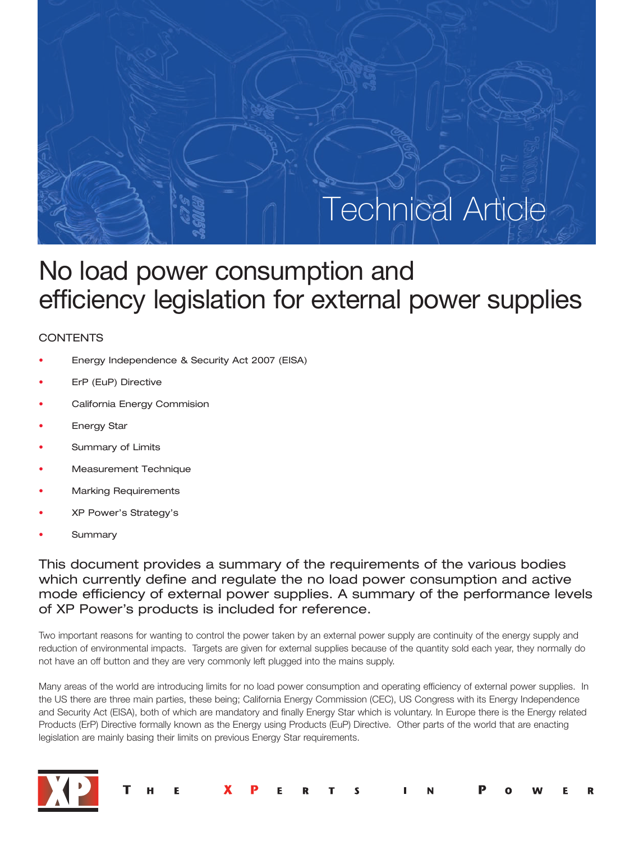

# No load power consumption and efficiency legislation for external power supplies

# **CONTENTS**

- Energy Independence & Security Act 2007 (EISA)
- ErP (EuP) Directive
- California Energy Commision
- **Energy Star**
- Summary of Limits
- Measurement Technique
- Marking Requirements
- XP Power's Strategy's
- **Summary**

This document provides a summary of the requirements of the various bodies which currently define and regulate the no load power consumption and active mode efficiency of external power supplies. A summary of the performance levels of XP Power's products is included for reference.

Two important reasons for wanting to control the power taken by an external power supply are continuity of the energy supply and reduction of environmental impacts. Targets are given for external supplies because of the quantity sold each year, they normally do not have an off button and they are very commonly left plugged into the mains supply.

Many areas of the world are introducing limits for no load power consumption and operating efficiency of external power supplies. In the US there are three main parties, these being; California Energy Commission (CEC), US Congress with its Energy Independence and Security Act (EISA), both of which are mandatory and finally Energy Star which is voluntary. In Europe there is the Energy related Products (ErP) Directive formally known as the Energy using Products (EuP) Directive. Other parts of the world that are enacting legislation are mainly basing their limits on previous Energy Star requirements.



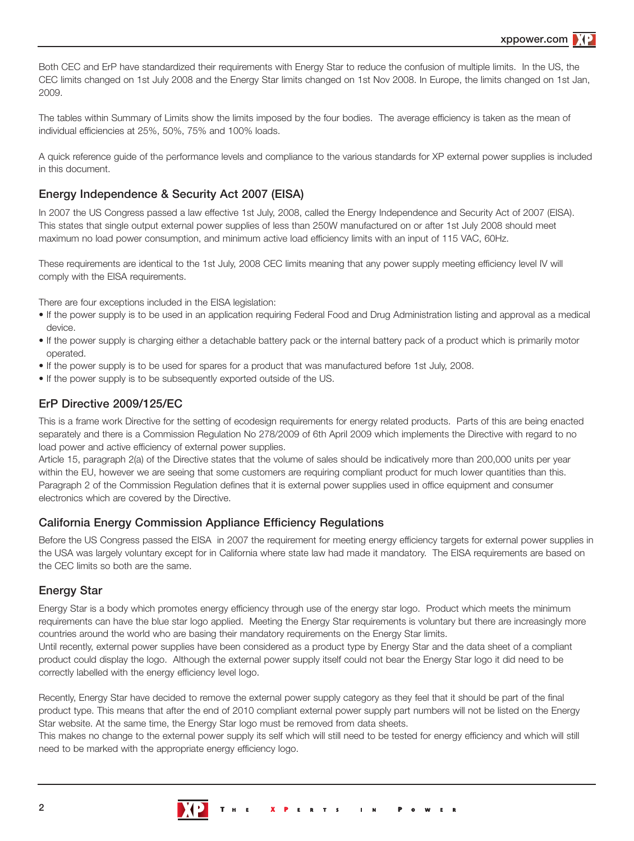xppower.com

Both CEC and ErP have standardized their requirements with Energy Star to reduce the confusion of multiple limits. In the US, the CEC limits changed on 1st July 2008 and the Energy Star limits changed on 1st Nov 2008. In Europe, the limits changed on 1st Jan, 2009.

The tables within Summary of Limits show the limits imposed by the four bodies. The average efficiency is taken as the mean of individual efficiencies at 25%, 50%, 75% and 100% loads.

A quick reference guide of the performance levels and compliance to the various standards for XP external power supplies is included in this document.

### Energy Independence & Security Act 2007 (EISA)

In 2007 the US Congress passed a law effective 1st July, 2008, called the Energy Independence and Security Act of 2007 (EISA). This states that single output external power supplies of less than 250W manufactured on or after 1st July 2008 should meet maximum no load power consumption, and minimum active load efficiency limits with an input of 115 VAC, 60Hz.

These requirements are identical to the 1st July, 2008 CEC limits meaning that any power supply meeting efficiency level IV will comply with the EISA requirements.

There are four exceptions included in the EISA legislation:

- If the power supply is to be used in an application requiring Federal Food and Drug Administration listing and approval as a medical device.
- If the power supply is charging either a detachable battery pack or the internal battery pack of a product which is primarily motor operated.
- If the power supply is to be used for spares for a product that was manufactured before 1st July, 2008.
- If the power supply is to be subsequently exported outside of the US.

### ErP Directive 2009/125/EC

This is a frame work Directive for the setting of ecodesign requirements for energy related products. Parts of this are being enacted separately and there is a Commission Regulation No 278/2009 of 6th April 2009 which implements the Directive with regard to no load power and active efficiency of external power supplies.

Article 15, paragraph 2(a) of the Directive states that the volume of sales should be indicatively more than 200,000 units per year within the EU, however we are seeing that some customers are requiring compliant product for much lower quantities than this. Paragraph 2 of the Commission Regulation defines that it is external power supplies used in office equipment and consumer electronics which are covered by the Directive.

### California Energy Commission Appliance Efficiency Regulations

Before the US Congress passed the EISA in 2007 the requirement for meeting energy efficiency targets for external power supplies in the USA was largely voluntary except for in California where state law had made it mandatory. The EISA requirements are based on the CEC limits so both are the same.

### Energy Star

Energy Star is a body which promotes energy efficiency through use of the energy star logo. Product which meets the minimum requirements can have the blue star logo applied. Meeting the Energy Star requirements is voluntary but there are increasingly more countries around the world who are basing their mandatory requirements on the Energy Star limits.

Until recently, external power supplies have been considered as a product type by Energy Star and the data sheet of a compliant product could display the logo. Although the external power supply itself could not bear the Energy Star logo it did need to be correctly labelled with the energy efficiency level logo.

Recently, Energy Star have decided to remove the external power supply category as they feel that it should be part of the final product type. This means that after the end of 2010 compliant external power supply part numbers will not be listed on the Energy Star website. At the same time, the Energy Star logo must be removed from data sheets.

This makes no change to the external power supply its self which will still need to be tested for energy efficiency and which will still need to be marked with the appropriate energy efficiency logo.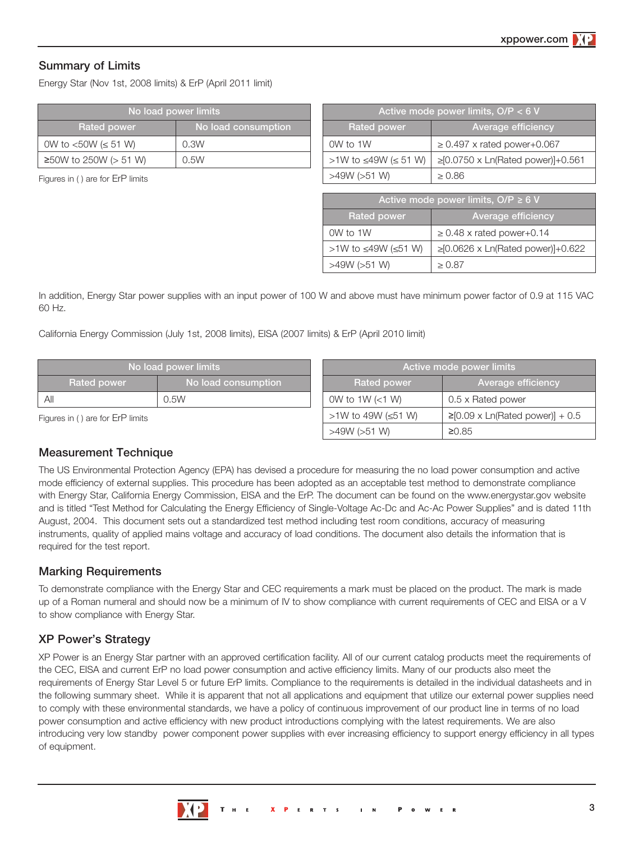# Summary of Limits

Energy Star (Nov 1st, 2008 limits) & ErP (April 2011 limit)

| No load power limits     |                     |  |  |  |
|--------------------------|---------------------|--|--|--|
| <b>Rated power</b>       | No load consumption |  |  |  |
| 0W to <50W (≤ 51 W)      | 0.3W                |  |  |  |
| ≥50W to 250W ( $> 51$ W) | 0.5W                |  |  |  |

Figures in ( ) are for ErP limits

| Active mode power limits, $O/P < 6 V$ |                                   |  |  |  |
|---------------------------------------|-----------------------------------|--|--|--|
| <b>Rated power</b>                    | Average efficiency                |  |  |  |
| OW to 1W                              | $\geq$ 0.497 x rated power+0.067  |  |  |  |
| >1W to ≤49W (≤ 51 W)                  | ≥[0.0750 x Ln(Rated power)]+0.561 |  |  |  |
| >49W (>51 W)                          | > 0.86                            |  |  |  |

| Active mode power limits, $O/P \ge 6$ V |                                         |  |  |  |
|-----------------------------------------|-----------------------------------------|--|--|--|
| <b>Rated power</b>                      | Average efficiency                      |  |  |  |
| OW to 1W                                | $\geq$ 0.48 x rated power+0.14          |  |  |  |
| >1W to ≤49W (≤51 W)                     | $\geq$ [0.0626 x Ln(Rated power)]+0.622 |  |  |  |
| >49W (>51 W)                            | > 0.87                                  |  |  |  |

In addition, Energy Star power supplies with an input power of 100 W and above must have minimum power factor of 0.9 at 115 VAC 60 Hz.

California Energy Commission (July 1st, 2008 limits), EISA (2007 limits) & ErP (April 2010 limit)

|                                  | No load power limits | Active mode power limits |                                       |  |  |  |
|----------------------------------|----------------------|--------------------------|---------------------------------------|--|--|--|
| Rated power                      | No load consumption  | <b>Rated power</b>       | Average efficiency                    |  |  |  |
| All                              | 0.5W                 | OW to 1W (<1 W)          | 0.5 x Rated power                     |  |  |  |
| Figures in () are for ErP limits |                      | >1W to 49W (≤51 W)       | $\geq$ [0.09 x Ln(Rated power)] + 0.5 |  |  |  |
|                                  |                      | >49W (>51 W)             | ≥0.85                                 |  |  |  |

### Measurement Technique

The US Environmental Protection Agency (EPA) has devised a procedure for measuring the no load power consumption and active mode efficiency of external supplies. This procedure has been adopted as an acceptable test method to demonstrate compliance with Energy Star, California Energy Commission, EISA and the ErP. The document can be found on the www.energystar.gov website and is titled "Test Method for Calculating the Energy Efficiency of Single-Voltage Ac-Dc and Ac-Ac Power Supplies" and is dated 11th August, 2004. This document sets out a standardized test method including test room conditions, accuracy of measuring instruments, quality of applied mains voltage and accuracy of load conditions. The document also details the information that is required for the test report.

# Marking Requirements

To demonstrate compliance with the Energy Star and CEC requirements a mark must be placed on the product. The mark is made up of a Roman numeral and should now be a minimum of IV to show compliance with current requirements of CEC and EISA or a V to show compliance with Energy Star.

# XP Power's Strategy

XP Power is an Energy Star partner with an approved certification facility. All of our current catalog products meet the requirements of the CEC, EISA and current ErP no load power consumption and active efficiency limits. Many of our products also meet the requirements of Energy Star Level 5 or future ErP limits. Compliance to the requirements is detailed in the individual datasheets and in the following summary sheet. While it is apparent that not all applications and equipment that utilize our external power supplies need to comply with these environmental standards, we have a policy of continuous improvement of our product line in terms of no load power consumption and active efficiency with new product introductions complying with the latest requirements. We are also introducing very low standby power component power supplies with ever increasing efficiency to support energy efficiency in all types of equipment.

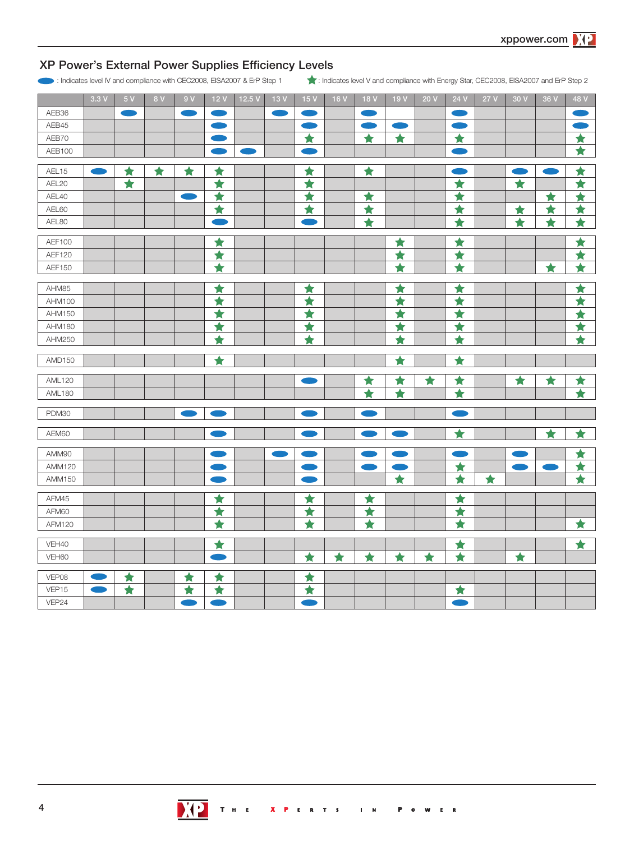# XP Power's External Power Supplies Efficiency Levels

: Indicates level IV and compliance with CEC2008, EISA2007 & ErP Step 1 : Indicates level V and compliance with Energy Star, CEC2008, EISA2007 and ErP Step 2

|               | 3.3V | 5V                 | 8 V | 9V                 | 12V                         | 12.5V | 13V | 15V                                                                                                                   | 16 V               | 18 V                       | 19V                         | 20V             | 24 V                                                                                                                  | 27V | 30 V                       | 36 V                       | 48 V               |
|---------------|------|--------------------|-----|--------------------|-----------------------------|-------|-----|-----------------------------------------------------------------------------------------------------------------------|--------------------|----------------------------|-----------------------------|-----------------|-----------------------------------------------------------------------------------------------------------------------|-----|----------------------------|----------------------------|--------------------|
| AEB36         |      | œ                  |     |                    |                             |       |     |                                                                                                                       |                    |                            |                             |                 | <b>Contract Contract Contract Contract Contract Contract Contract Contract Contract Contract Contract Contract Co</b> |     |                            |                            |                    |
| AEB45         |      |                    |     |                    |                             |       |     | <b>Contract Contract Contract Contract Contract Contract Contract Contract Contract Contract Contract Contract Co</b> |                    |                            |                             |                 | <b>Service Service</b>                                                                                                |     |                            |                            |                    |
| AEB70         |      |                    |     |                    |                             |       |     | ★                                                                                                                     |                    | ★                          | ★                           |                 | ★                                                                                                                     |     |                            |                            | $\bigstar$         |
| AEB100        |      |                    |     |                    |                             |       |     |                                                                                                                       |                    |                            |                             |                 |                                                                                                                       |     |                            |                            | $\overline{\star}$ |
| AEL15         |      | ★                  | ★   | ★                  | ★                           |       |     | ★                                                                                                                     |                    | $\overline{\textbf{t}}$    |                             |                 | m                                                                                                                     |     | œ                          | m                          | ★                  |
| AEL20         |      | $\blacklozenge$    |     |                    | ★                           |       |     | ★                                                                                                                     |                    |                            |                             |                 | $\bigstar$                                                                                                            |     | $\blacktriangleright$      |                            | ★                  |
| AEL40         |      |                    |     |                    | ★                           |       |     | ★                                                                                                                     |                    | ★                          |                             |                 | $\overline{\star}$                                                                                                    |     |                            | ★                          | ★                  |
| AEL60         |      |                    |     |                    | $\overline{\star}$          |       |     | $\overline{\star}$                                                                                                    |                    | $\overline{\blacklozenge}$ |                             |                 | $\overline{\star}$                                                                                                    |     | ★                          | ★                          | ★                  |
| AEL80         |      |                    |     |                    |                             |       |     |                                                                                                                       |                    | $\overline{\blacklozenge}$ |                             |                 | $\overline{\blacktriangle}$                                                                                           |     | $\overline{\blacklozenge}$ | $\overline{\blacklozenge}$ | $\overline{\star}$ |
| AEF100        |      |                    |     |                    | ★                           |       |     |                                                                                                                       |                    |                            | ★                           |                 | ★                                                                                                                     |     |                            |                            | ★                  |
| <b>AEF120</b> |      |                    |     |                    | $\overline{\star}$          |       |     |                                                                                                                       |                    |                            | $\overline{\star}$          |                 | $\overline{\star}$                                                                                                    |     |                            |                            | ★                  |
| <b>AEF150</b> |      |                    |     |                    | $\overline{\star}$          |       |     |                                                                                                                       |                    |                            | $\overline{\star}$          |                 | $\overline{\star}$                                                                                                    |     |                            | $\overline{\star}$         | $\overline{\star}$ |
| AHM85         |      |                    |     |                    | ★                           |       |     | ★                                                                                                                     |                    |                            | ★                           |                 | ★                                                                                                                     |     |                            |                            | ★                  |
| AHM100        |      |                    |     |                    | ★                           |       |     | $\blacklozenge$                                                                                                       |                    |                            | ★                           |                 | $\blacklozenge$                                                                                                       |     |                            |                            | ★                  |
| AHM150        |      |                    |     |                    | ★                           |       |     | ★                                                                                                                     |                    |                            | ★                           |                 | ★                                                                                                                     |     |                            |                            | ★                  |
| AHM180        |      |                    |     |                    | ★                           |       |     | ★                                                                                                                     |                    |                            | ★                           |                 | ★                                                                                                                     |     |                            |                            | $\blacklozenge$    |
| AHM250        |      |                    |     |                    | $\overline{\blacktriangle}$ |       |     | $\overline{\blacklozenge}$                                                                                            |                    |                            | $\overline{\blacktriangle}$ |                 | $\overline{\blacklozenge}$                                                                                            |     |                            |                            | $\overline{\star}$ |
|               |      |                    |     |                    |                             |       |     |                                                                                                                       |                    |                            |                             |                 |                                                                                                                       |     |                            |                            |                    |
| AMD150        |      |                    |     |                    | $\overline{\star}$          |       |     |                                                                                                                       |                    |                            | $\blacktriangle$            |                 | $\overline{\blacktriangle}$                                                                                           |     |                            |                            |                    |
| <b>AML120</b> |      |                    |     |                    |                             |       |     |                                                                                                                       |                    | ★                          | ★                           | ★               | ★                                                                                                                     |     | ★                          | ★                          | ★                  |
| <b>AML180</b> |      |                    |     |                    |                             |       |     |                                                                                                                       |                    | $\blacklozenge$            | ÷                           |                 | $\overline{\blacktriangle}$                                                                                           |     |                            |                            | $\overline{\star}$ |
| PDM30         |      |                    |     |                    |                             |       |     |                                                                                                                       |                    |                            |                             |                 |                                                                                                                       |     |                            |                            |                    |
|               |      |                    |     |                    |                             |       |     |                                                                                                                       |                    |                            |                             |                 |                                                                                                                       |     |                            |                            |                    |
| AEM60         |      |                    |     |                    |                             |       |     |                                                                                                                       |                    |                            |                             |                 | $\bigstar$                                                                                                            |     |                            | $\bigstar$                 | $\bigstar$         |
| AMM90         |      |                    |     |                    |                             |       |     |                                                                                                                       |                    |                            | m                           |                 |                                                                                                                       |     |                            |                            | ★                  |
| AMM120        |      |                    |     |                    | e e                         |       |     | r e                                                                                                                   |                    | an a                       | m                           |                 | ★                                                                                                                     |     | n a                        |                            | ★                  |
| AMM150        |      |                    |     |                    |                             |       |     |                                                                                                                       |                    |                            | ★                           |                 | $\bigstar$                                                                                                            | ★   |                            |                            | ★                  |
| AFM45         |      |                    |     |                    | ★                           |       |     | ★                                                                                                                     |                    | ★                          |                             |                 | ★                                                                                                                     |     |                            |                            |                    |
| AFM60         |      |                    |     |                    | $\overline{\star}$          |       |     | $\overline{\blacklozenge}$                                                                                            |                    | $\overline{\star}$         |                             |                 | $\overline{\bm{t}}$                                                                                                   |     |                            |                            |                    |
| AFM120        |      |                    |     |                    | $\overline{\textbf{t}}$     |       |     | ★                                                                                                                     |                    | ★                          |                             |                 | $\overline{\blacklozenge}$                                                                                            |     |                            |                            | ★                  |
| VEH40         |      |                    |     |                    | ★                           |       |     |                                                                                                                       |                    |                            |                             |                 | ★                                                                                                                     |     |                            |                            | ★                  |
| VEH60         |      |                    |     |                    |                             |       |     | $\overline{\star}$                                                                                                    | $\overline{\star}$ | $\overline{\star}$         | $\blacklozenge$             | $\blacklozenge$ | $\overline{\star}$                                                                                                    |     | $\blacklozenge$            |                            |                    |
| VEP08         |      | ★                  |     | ★                  | ★                           |       |     | ★                                                                                                                     |                    |                            |                             |                 |                                                                                                                       |     |                            |                            |                    |
| VEP15         |      | $\overline{\star}$ |     | $\overline{\star}$ | $\overline{\star}$          |       |     | $\overline{\blacklozenge}$                                                                                            |                    |                            |                             |                 | ★                                                                                                                     |     |                            |                            |                    |
| VEP24         |      |                    |     |                    |                             |       |     |                                                                                                                       |                    |                            |                             |                 |                                                                                                                       |     |                            |                            |                    |